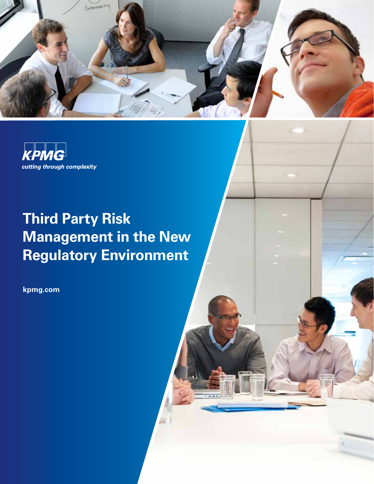



# **Third Party Risk Management in the New Regulatory Environment**

**kpmg.com**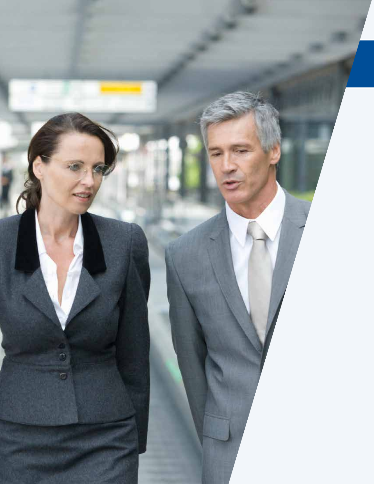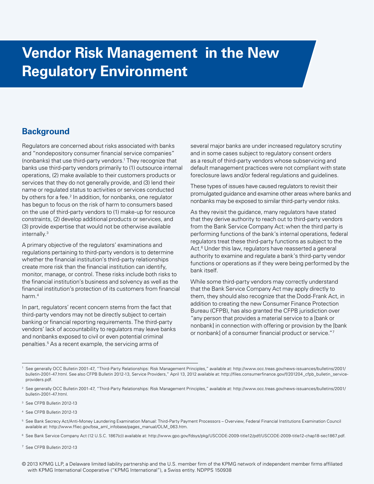## **Vendor Risk Management in the New Regulatory Environment**

### **Background**

Regulators are concerned about risks associated with banks and "nondepository consumer financial service companies" (nonbanks) that use third-party vendors.1 They recognize that banks use third-party vendors primarily to (1) outsource internal operations, (2) make available to their customers products or services that they do not generally provide, and (3) lend their name or regulated status to activities or services conducted by others for a fee.<sup>2</sup> In addition, for nonbanks, one regulator has begun to focus on the risk of harm to consumers based on the use of third-party vendors to (1) make-up for resource constraints, (2) develop additional products or services, and (3) provide expertise that would not be otherwise available internally.3

A primary objective of the regulators' examinations and regulations pertaining to third-party vendors is to determine whether the financial institution's third-party relationships create more risk than the financial institution can identify, monitor, manage, or control. These risks include both risks to the financial institution's business and solvency as well as the financial institution's protection of its customers from financial harm.4

In part, regulators' recent concern stems from the fact that third-party vendors may not be directly subject to certain banking or financial reporting requirements. The third-party vendors' lack of accountability to regulators may leave banks and nonbanks exposed to civil or even potential criminal penalties.5 As a recent example, the servicing arms of

several major banks are under increased regulatory scrutiny and in some cases subject to regulatory consent orders as a result of third-party vendors whose subservicing and default management practices were not compliant with state foreclosure laws and/or federal regulations and guidelines.

These types of issues have caused regulators to revisit their promulgated guidance and examine other areas where banks and nonbanks may be exposed to similar third-party vendor risks.

As they revisit the guidance, many regulators have stated that they derive authority to reach out to third-party vendors from the Bank Service Company Act:when the third party is performing functions of the bank's internal operations, federal regulators treat these third-party functions as subject to the Act.<sup>6</sup> Under this law, regulators have reasserted a general authority to examine and regulate a bank's third-party vendor functions or operations as if they were being performed by the bank itself.

While some third-party vendors may correctly understand that the Bank Service Company Act may apply directly to them, they should also recognize that the Dodd-Frank Act, in addition to creating the new Consumer Finance Protection Bureau (CFPB), has also granted the CFPB jurisdiction over "any person that provides a material service to a [bank or nonbank] in connection with offering or provision by the [bank or nonbank] of a consumer financial product or service."7

- 1 See generally OCC Bulletin 2001-47, "Third-Party Relationships: Risk Management Principles," available at: http://www.occ.treas.gov/news-issuances/bulletins/2001/ bulletin-2001-47.html. See also CFPB Bulletin 2012-13, Service Providers," April 13, 2012 available at: http://files.consumerfinance.gov/f/201204\_cfpb\_bulletin\_serviceproviders.pdf.
- 2 See generally OCC Bulletin 2001-47, "Third-Party Relationships: Risk Management Principles," available at: http://www.occ.treas.gov/news-issuances/bulletins/2001/ bulletin-2001-47.html.
- <sup>3</sup> See CFPB Bulletin 2012-13
- <sup>4</sup> See CFPB Bulletin 2012-13
- $^{\rm 5}$  See Bank Secrecy Act/Anti-Money Laundering Examination Manual: Third-Party Payment Processors Overview, Federal Financial Institutions Examination Council available at: http://www.ffiec.gov/bsa\_aml\_infobase/pages\_manual/OLM\_063.htm.
- <sup>6</sup> See Bank Service Company Act (12 U.S.C. 1867(c)) available at: http://www.gpo.gov/fdsys/pkg/USCODE-2009-title12/pdf/USCODE-2009-title12-chap18-sec1867.pdf.
- <sup>7</sup> See CFPB Bulletin 2012-13

<sup>© 2013</sup> KPMG LLP, a Delaware limited liability partnership and the U.S. member firm of the KPMG network of independent member firms affiliated with KPMG International Cooperative ("KPMG International"), a Swiss entity. NDPPS 150938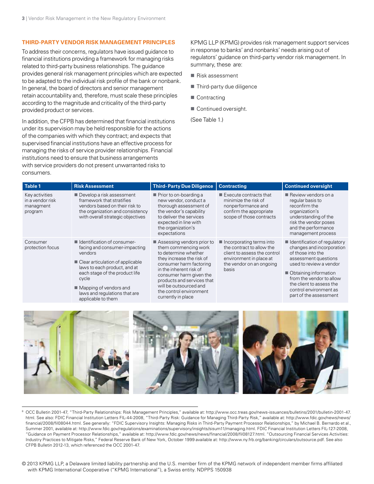#### **Third-Party Vendor Risk Management Principles**

To address their concerns, regulators have issued guidance to financial institutions providing a framework for managing risks related to third-party business relationships. The guidance provides general risk management principles which are expected to be adapted to the individual risk profile of the bank or nonbank. In general, the board of directors and senior management retain accountability and, therefore, must scale these principles according to the magnitude and criticality of the third-party provided product or services.

In addition, the CFPB has determined that financial institutions under its supervision may be held responsible for the actions of the companies with which they contract; and expects that supervised financial institutions have an effective process for managing the risks of service provider relationships. Financial institutions need to ensure that business arrangements with service providers do not present unwarranted risks to consumers.

KPMG LLP (KPMG) provides risk management support services in response to banks' and nonbanks' needs arising out of regulators' guidance on third-party vendor risk management. In summary, these are:

- Risk assessment
- Third-party due diligence
- Contracting
- Continued oversight.

(See Table 1.)

| <b>Table 1</b>                                             | <b>Risk Assessment</b>                                                                                                                                                                                                                                                                     | <b>Third-Party Due Diligence</b>                                                                                                                                                                                                                                                                  | <b>Contracting</b>                                                                                                                                                          | <b>Continued oversight</b>                                                                                                                                                                                                                                                            |
|------------------------------------------------------------|--------------------------------------------------------------------------------------------------------------------------------------------------------------------------------------------------------------------------------------------------------------------------------------------|---------------------------------------------------------------------------------------------------------------------------------------------------------------------------------------------------------------------------------------------------------------------------------------------------|-----------------------------------------------------------------------------------------------------------------------------------------------------------------------------|---------------------------------------------------------------------------------------------------------------------------------------------------------------------------------------------------------------------------------------------------------------------------------------|
| Key activities<br>in a vendor risk<br>managment<br>program | Develop a risk assessment<br>framework that stratifies<br>vendors based on their risk to<br>the organization and consistency<br>with overall strategic objectives                                                                                                                          | Prior to on-boarding a<br>new vendor, conduct a<br>thorough assessment of<br>the vendor's capability<br>to deliver the services<br>expected in line with<br>the organization's<br>expectations                                                                                                    | $\blacksquare$ Execute contracts that<br>minimize the risk of<br>nonperformance and<br>confirm the appropriate<br>scope of those contracts                                  | Review vendors on a<br>regular basis to<br>reconfirm the<br>organization's<br>understanding of the<br>risk the vendor poses<br>and the performance<br>management process                                                                                                              |
| Consumer<br>protection focus                               | I Identification of consumer-<br>facing and consumer-impacting<br>vendors<br>■ Clear articulation of applicable<br>laws to each product, and at<br>each stage of the product life<br>cycle<br>$\blacksquare$ Mapping of vendors and<br>laws and regulations that are<br>applicable to them | Assessing vendors prior to<br>them commencing work<br>to determine whether<br>they increase the risk of<br>consumer harm factoring<br>in the inherent risk of<br>consumer harm given the<br>products and services that<br>will be outsourced and<br>the control environment<br>currently in place | $\blacksquare$ Incorporating terms into<br>the contract to allow the<br>client to assess the control<br>environment in place at<br>the vendor on an ongoing<br><b>basis</b> | $\blacksquare$ Identification of regulatory<br>changes and incorporation<br>of those into the<br>assessment questions<br>used to review a vendor<br>Obtaining information<br>from the vendor to allow<br>the client to assess the<br>control environment as<br>part of the assessment |



<sup>8</sup> OCC Bulletin 2001-47, "Third-Party Relationships: Risk Management Principles," available at: http://www.occ.treas.gov/news-issuances/bulletins/2001/bulletin-2001-47. html. See also: FDIC Financial Institution Letters FIL-44-2008, "Third-Party Risk: Guidance for Managing Third-Party Risk," available at: http://www.fdic.gov/news/news/ financial/2008/fil08044.html. See generally: "FDIC Supervisory Insights: Managing Risks in Third-Party Payment Processor Relationships," by Michael B. Bernardo et al., Summer 2001, available at: http://www.fdic.gov/regulations/examinations/supervisory/insights/sisum11/managing.html. FDIC Financial Institution Letters FIL-127-2008, "Guidance on Payment Processor Relationships," available at: http://www.fdic.gov/news/news/financial/2008/fil08127.html. "Outsourcing Financial Services Activities: Industry Practices to Mitigate Risks," Federal Reserve Bank of New York, October 1999 available at: http://www.ny.frb.org/banking/circulars/outsource.pdf. See also CFPB Bulletin 2012-13, which referenced the OCC 2001-47.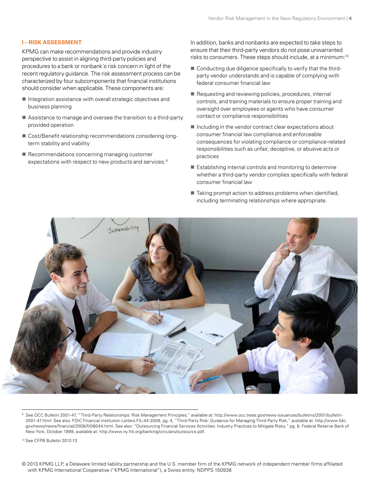#### **I – Risk Assessment**

KPMG can make recommendations and provide industry perspective to assist in aligning third-party policies and procedures to a bank or nonbank's risk concern in light of the recent regulatory guidance. The risk assessment process can be characterized by four subcomponents that financial institutions should consider when applicable. These components are:

- $\blacksquare$  Integration assistance with overall strategic objectives and business planning
- Assistance to manage and oversee the transition to a third-party provided operation
- Cost/Benefit relationship recommendations considering longterm stability and viability
- Recommendations concerning managing customer expectations with respect to new products and services.<sup>9</sup>

In addition, banks and nonbanks are expected to take steps to ensure that their third-party vendors do not pose unwarranted risks to consumers. These steps should include, at a minimum:10

- Conducting due diligence specifically to verify that the thirdparty vendor understands and is capable of complying with federal consumer financial law
- Requesting and reviewing policies, procedures, internal controls, and training materials to ensure proper training and oversight over employees or agents who have consumer contact or compliance responsibilities
- $\blacksquare$  Including in the vendor contract clear expectations about consumer financial law compliance and enforceable consequences for violating compliance or compliance-related responsibilities such as unfair, deceptive, or abusive acts or practices
- Establishing internal controls and monitoring to determine whether a third-party vendor complies specifically with federal consumer financial law
- $\blacksquare$  Taking prompt action to address problems when identified, including terminating relationships where appropriate.



<sup>9</sup> See OCC Bulletin 2001-47, "Third-Party Relationships: Risk Management Principles," available at: http://www.occ.treas.gov/news-issuances/bulletins/2001/bulletin-2001-47.html. See also: FDIC Financial Institution Letters FIL-44-2008, pg. 4, "Third-Party Risk: Guidance for Managing Third-Party Risk," available at: http://www.fdic. gov/news/news/financial/2008/fil08044.html. See also: "Outsourcing Financial Services Activities: Industry Practices to Mitigate Risks," pg. 8, Federal Reserve Bank of New York, October 1999, available at: http://www.ny.frb.org/banking/circulars/outsource.pdf.

<sup>10</sup> See CFPB Bulletin 2012-13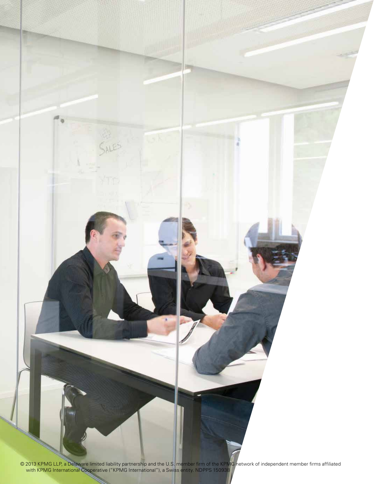© 2013 KPMG LLP, a Delaware limited liability partnership and the U.S. member firm of the KPMG network of independent member firms affiliated with KPMG International Cooperative ("KPMG International"), a Swiss entity. NDPPS 150938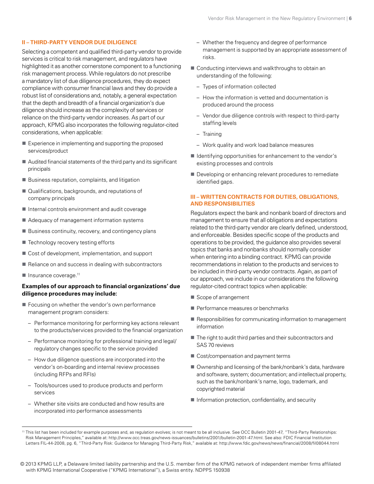#### **II – Third-Party Vendor Due Diligence**

Selecting a competent and qualified third-party vendor to provide services is critical to risk management, and regulators have highlighted it as another cornerstone component to a functioning risk management process. While regulators do not prescribe a mandatory list of due diligence procedures, they do expect compliance with consumer financial laws and they do provide a robust list of considerations and, notably, a general expectation that the depth and breadth of a financial organization's due diligence should increase as the complexity of services or reliance on the third-party vendor increases. As part of our approach, KPMG also incorporates the following regulator-cited considerations, when applicable:

- $\blacksquare$  Experience in implementing and supporting the proposed services/product
- Audited financial statements of the third party and its significant principals
- Business reputation, complaints, and litigation
- Qualifications, backgrounds, and reputations of company principals
- Internal controls environment and audit coverage
- Adequacy of management information systems
- Business continuity, recovery, and contingency plans
- Technology recovery testing efforts
- Cost of development, implementation, and support
- $\blacksquare$  Reliance on and success in dealing with subcontractors
- $\blacksquare$  Insurance coverage.<sup>11</sup>

#### **Examples of our approach to financial organizations' due diligence procedures may include:**

- $\blacksquare$  Focusing on whether the vendor's own performance management program considers:
	- Performance monitoring for performing key actions relevant to the products/services provided to the financial organization
	- Performance monitoring for professional training and legal/ regulatory changes specific to the service provided
	- How due diligence questions are incorporated into the vendor's on-boarding and internal review processes (including RFPs and RFIs)
	- Tools/sources used to produce products and perform services
	- Whether site visits are conducted and how results are incorporated into performance assessments
- Whether the frequency and degree of performance management is supported by an appropriate assessment of risks.
- Conducting interviews and walkthroughs to obtain an understanding of the following:
	- Types of information collected
	- How the information is vetted and documentation is produced around the process
	- Vendor due diligence controls with respect to third-party staffing levels
	- Training
	- Work quality and work load balance measures
- $\blacksquare$  Identifying opportunities for enhancement to the vendor's existing processes and controls
- Developing or enhancing relevant procedures to remediate identified gaps.

#### **III – Written Contracts for Duties, Obligations, and Responsibilities**

Regulators expect the bank and nonbank board of directors and management to ensure that all obligations and expectations related to the third-party vendor are clearly defined, understood, and enforceable. Besides specific scope of the products and operations to be provided, the guidance also provides several topics that banks and nonbanks should normally consider when entering into a binding contract. KPMG can provide recommendations in relation to the products and services to be included in third-party vendor contracts. Again, as part of our approach, we include in our considerations the following regulator-cited contract topics when applicable:

- Scope of arrangement
- Performance measures or benchmarks
- Responsibilities for communicating information to management information
- $\blacksquare$  The right to audit third parties and their subcontractors and SAS 70 reviews
- Cost/compensation and payment terms
- Ownership and licensing of the bank/nonbank's data, hardware and software, system; documentation; and intellectual property, such as the bank/nonbank's name, logo, trademark, and copyrighted material
- **Information protection, confidentiality, and security**

<sup>11</sup> This list has been included for example purposes and, as regulation evolves; is not meant to be all inclusive. See OCC Bulletin 2001-47, "Third-Party Relationships: Risk Management Principles," available at: http://www.occ.treas.gov/news-issuances/bulletins/2001/bulletin-2001-47.html. See also: FDIC Financial Institution Letters FIL-44-2008, pg. 6, "Third-Party Risk: Guidance for Managing Third-Party Risk," available at: http://www.fdic.gov/news/news/financial/2008/fil08044.html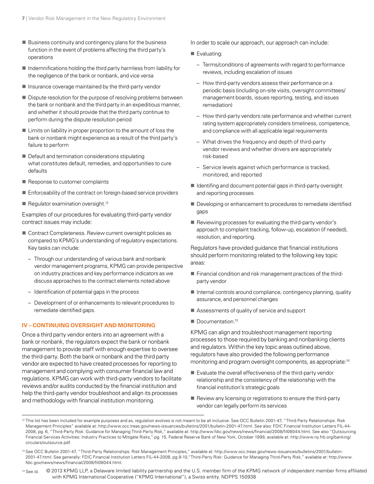- $\blacksquare$  Business continuity and contingency plans for the business function in the event of problems affecting the third party's operations
- $\blacksquare$  Indemnifications holding the third party harmless from liability for the negligence of the bank or nonbank, and vice versa
- $\blacksquare$  Insurance coverage maintained by the third-party vendor
- Dispute resolution for the purpose of resolving problems between the bank or nonbank and the third party in an expeditious manner, and whether it should provide that the third party continue to perform during the dispute resolution period
- Limits on liability in proper proportion to the amount of loss the bank or nonbank might experience as a result of the third party's failure to perform
- Default and termination considerations stipulating what constitutes default, remedies, and opportunities to cure defaults
- Response to customer complaints
- Enforceability of the contract on foreign-based service providers
- Regulator examination oversight.<sup>12</sup>

Examples of our procedures for evaluating third-party vendor contract issues may include:

- Contract Completeness. Review current oversight policies as compared to KPMG's understanding of regulatory expectations. Key tasks can include:
	- Through our understanding of various bank and nonbank vendor management programs, KPMG can provide perspective on industry practices and key performance indicators as we discuss approaches to the contract elements noted above
	- Identification of potential gaps in the process
	- Development of or enhancements to relevant procedures to remediate identified gaps.

#### **IV – Continuing oversight and monitoring**

Once a third party vendor enters into an agreement with a bank or nonbank, the regulators expect the bank or nonbank management to provide staff with enough expertise to oversee the third-party. Both the bank or nonbank and the third party vendor are expected to have created processes for reporting to management and complying with consumer financial law and regulations. KPMG can work with third-party vendors to facilitate reviews and/or audits conducted by the financial institution and help the third-party vendor troubleshoot and align its processes and methodology with financial institution monitoring.

In order to scale our approach, our approach can include:

- **Exaluating:** 
	- Terms/conditions of agreements with regard to performance reviews, including escalation of issues
	- How third-party vendors assess their performance on a periodic basis (including on-site visits, oversight committees/ management boards, issues reporting, testing, and issues remediation)
	- How third-party vendors rate performance and whether current rating system appropriately considers timeliness, competence, and compliance with all applicable legal requirements
	- What drives the frequency and depth of third-party vendor reviews and whether drivers are appropriately risk-based
	- Service levels against which performance is tracked, monitored, and reported
- $\blacksquare$  Identifing and document potential gaps in third-party oversight and reporting processes
- Developing or enhancement to procedures to remediate identified gaps
- Reviewing processes for evaluating the third-party vendor's approach to complaint tracking, follow-up, escalation (if needed), resolution, and reporting.

Regulators have provided guidance that financial institutions should perform monitoring related to the following key topic areas:

- Financial condition and risk management practices of the thirdparty vendor
- Internal controls around compliance, contingency planning, quality assurance, and personnel changes
- Assessments of quality of service and support
- $\blacksquare$  Documentation.<sup>13</sup>

KPMG can align and troubleshoot management reporting processes to those required by banking and nonbanking clients and regulators. Within the key topic areas outlined above, regulators have also provided the following performance monitoring and program oversight components, as appropriate:14

- Evaluate the overall effectiveness of the third-party vendor relationship and the consistency of the relationship with the financial institution's strategic goals
- Review any licensing or registrations to ensure the third-party vendor can legally perform its services

<sup>&</sup>lt;sup>12</sup> This list has been included for example purposes and as, regulation evolves is not meant to be all inclusive. See OCC Bulletin 2001-47, "Third-Party Relationships: Risk Management Principles" available at: http://www.occ.treas.gov/news-issuances/bulletins/2001/bulletin-2001-47.html. See also: FDIC Financial Institution Letters FIL-44- 2008, pg. 6, "Third-Party Risk: Guidance for Managing Third-Party Risk," available at: http://www.fdic.gov/news/news/financial/2008/fil08044.html. See also "Outsourcing Financial Services Activities: Industry Practices to Mitigate Risks," pg. 15, Federal Reserve Bank of New York, October 1999, available at: http://www.ny.frb.org/banking/ circulars/outsource.pdf.

<sup>&</sup>lt;sup>13</sup> See OCC Bulletin 2001-47, "Third-Party Relationships: Risk Management Principles," available at: http://www.occ.treas.gov/news-issuances/bulletins/2001/bulletin-2001-47.html. See generally: FDIC Financial Institution Letters FIL-44-2008, pg.9-10,"Third-Party Risk: Guidance for Managing Third-Party Risk," available at: http://www. fdic.gov/news/news/financial/2008/fil08044.html.

<sup>&</sup>lt;sup>14</sup> See id. © 2013 KPMG LLP, a Delaware limited liability partnership and the U.S. member firm of the KPMG network of independent member firms affiliated with KPMG International Cooperative ("KPMG International"), a Swiss entity. NDPPS 150938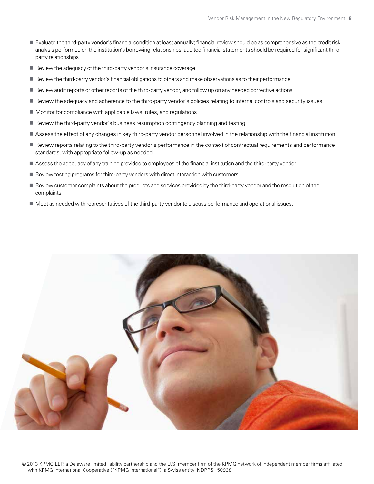- Evaluate the third-party vendor's financial condition at least annually; financial review should be as comprehensive as the credit risk analysis performed on the institution's borrowing relationships; audited financial statements should be required for significant thirdparty relationships
- $\blacksquare$  Review the adequacy of the third-party vendor's insurance coverage
- Review the third-party vendor's financial obligations to others and make observations as to their performance
- Review audit reports or other reports of the third-party vendor, and follow up on any needed corrective actions
- Review the adequacy and adherence to the third-party vendor's policies relating to internal controls and security issues
- **Monitor for compliance with applicable laws, rules, and regulations**
- **Review the third-party vendor's business resumption contingency planning and testing**
- Assess the effect of any changes in key third-party vendor personnel involved in the relationship with the financial institution
- Review reports relating to the third-party vendor's performance in the context of contractual requirements and performance standards, with appropriate follow-up as needed
- Assess the adequacy of any training provided to employees of the financial institution and the third-party vendor
- Review testing programs for third-party vendors with direct interaction with customers
- Review customer complaints about the products and services provided by the third-party vendor and the resolution of the complaints
- Meet as needed with representatives of the third-party vendor to discuss performance and operational issues.

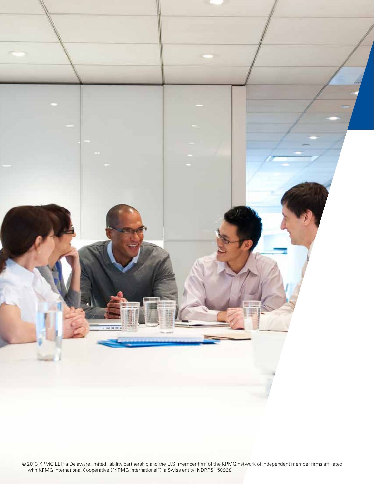

© 2013 KPMG LLP, a Delaware limited liability partnership and the U.S. member firm of the KPMG network of independent member firms affiliated with KPMG International Cooperative ("KPMG International"), a Swiss entity. NDPPS 150938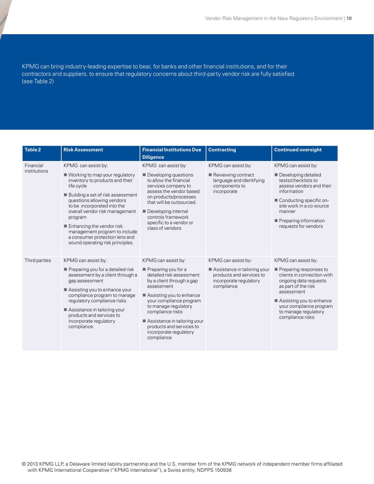KPMG can bring industry-leading expertise to bear, for banks and other financial institutions, and for their contractors and suppliers, to ensure that regulatory concerns about third-party vendor risk are fully satisfied (see Table 2)

| Table 2                   | <b>Risk Assessment</b>                                                                                                                                                                                                                                                                                                                                                                                       | <b>Financial Institutions Due</b><br><b>Diligence</b>                                                                                                                                                                                                                                                                                   | <b>Contracting</b>                                                                                                      | <b>Continued oversight</b>                                                                                                                                                                                                                                  |
|---------------------------|--------------------------------------------------------------------------------------------------------------------------------------------------------------------------------------------------------------------------------------------------------------------------------------------------------------------------------------------------------------------------------------------------------------|-----------------------------------------------------------------------------------------------------------------------------------------------------------------------------------------------------------------------------------------------------------------------------------------------------------------------------------------|-------------------------------------------------------------------------------------------------------------------------|-------------------------------------------------------------------------------------------------------------------------------------------------------------------------------------------------------------------------------------------------------------|
| Financial<br>institutions | KPMG can assist by:<br>■ Working to map your regulatory<br>inventory to products and their<br>life cycle<br>■ Building a set of risk assessment<br>questions allowing vendors<br>to be incorporated into the<br>overall vendor risk management<br>program<br>$\blacksquare$ Enhancing the vendor risk<br>management program to include<br>a consumer protection lens and<br>sound operating risk principles. | KPMG can assist by:<br>$\blacksquare$ Developing questions<br>to allow the financial<br>services company to<br>assess the vendor based<br>on products/processes<br>that will be outsourced.<br>Developing internal<br>controls framework<br>specific to a vendor or<br>class of vendors                                                 | KPMG can assist by:<br>Reviewing contract<br>language and identifying<br>components to<br>incorporate                   | KPMG can assist by:<br>Developing detailed<br>tests/checklists to<br>assess vendors and their<br>information<br>■ Conducting specific on-<br>site work in a co-source<br>manner<br>Preparing information<br>requests for vendors                            |
| Third parties             | KPMG can assist by:<br>Preparing you for a detailed risk<br>assessment by a client through a<br>gap assessment<br>Assisting you to enhance your<br>compliance program to manage<br>regulatory compliance risks<br>Assistance in tailoring your<br>products and services to<br>incorporate regulatory<br>compliance.                                                                                          | KPMG can assist by:<br>$\blacksquare$ Preparing you for a<br>detailed risk assessment<br>by a client through a gap<br>assessment<br>Assisting you to enhance<br>your compliance program<br>to manage regulatory<br>compliance risks<br>Assistance in tailoring your<br>products and services to<br>incorporate regulatory<br>compliance | KPMG can assist by:<br>Assistance in tailoring your<br>products and services to<br>incorporate regulatory<br>compliance | KPMG can assist by:<br>$\blacksquare$ Preparing responses to<br>clients in connection with<br>ongoing data requests<br>as part of the risk<br>assessment<br>Assisting you to enhance<br>your compliance program<br>to manage regulatory<br>compliance risks |